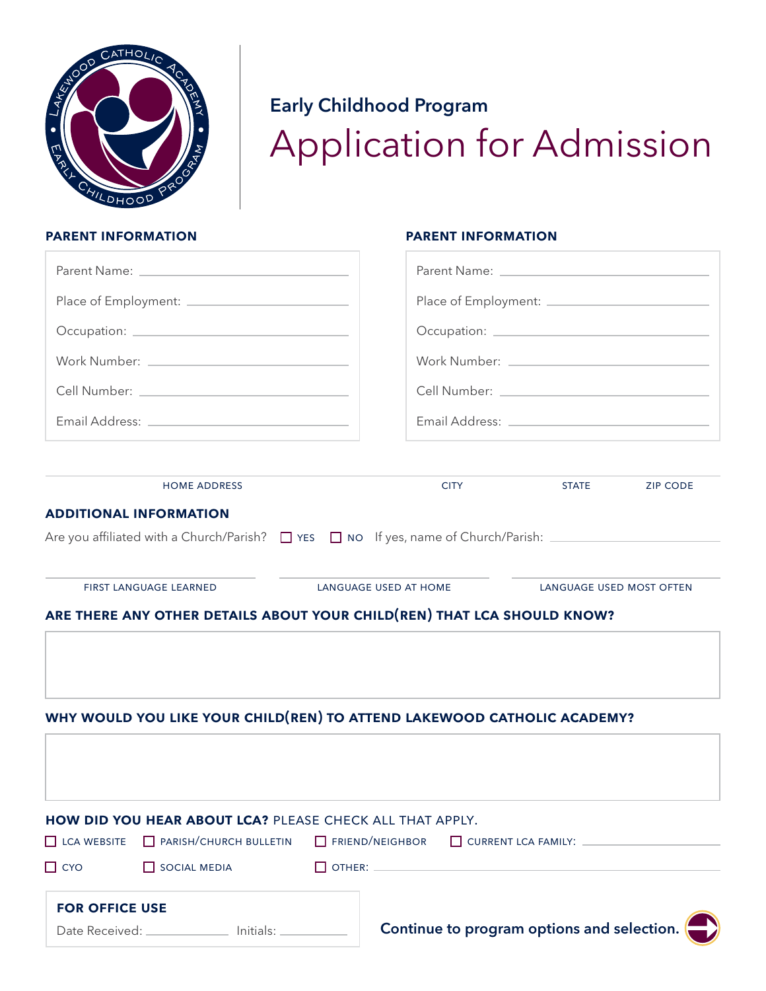

# Early Childhood Program Application for Admission

### parent information

### parent information

|                       | Parent Name: Name: Name and Separate and Separate Assembly and Separate Assembly                        |                       |             | Parent Name: Name and Separate and Separate and Separate and Separate and Separate and Separate and Separate and |                 |
|-----------------------|---------------------------------------------------------------------------------------------------------|-----------------------|-------------|------------------------------------------------------------------------------------------------------------------|-----------------|
|                       |                                                                                                         |                       |             |                                                                                                                  |                 |
|                       |                                                                                                         |                       |             |                                                                                                                  |                 |
|                       |                                                                                                         |                       |             |                                                                                                                  |                 |
|                       |                                                                                                         |                       |             |                                                                                                                  |                 |
|                       | Email Address: National Address: National Address: National Address: National Address: National Address |                       |             | Email Address: National Address: National Address: National Address: National Address: National Address          |                 |
|                       | <b>HOME ADDRESS</b>                                                                                     |                       | <b>CITY</b> | <b>STATE</b>                                                                                                     | <b>ZIP CODE</b> |
|                       | <b>ADDITIONAL INFORMATION</b>                                                                           |                       |             |                                                                                                                  |                 |
|                       | Are you affiliated with a Church/Parish? $\Box$ YES $\Box$ NO If yes, name of Church/Parish: $\Box$     |                       |             |                                                                                                                  |                 |
|                       |                                                                                                         |                       |             |                                                                                                                  |                 |
|                       |                                                                                                         |                       |             |                                                                                                                  |                 |
|                       | FIRST LANGUAGE LEARNED                                                                                  | LANGUAGE USED AT HOME |             | LANGUAGE USED MOST OFTEN                                                                                         |                 |
|                       | ARE THERE ANY OTHER DETAILS ABOUT YOUR CHILD(REN) THAT LCA SHOULD KNOW?                                 |                       |             |                                                                                                                  |                 |
|                       |                                                                                                         |                       |             |                                                                                                                  |                 |
|                       |                                                                                                         |                       |             |                                                                                                                  |                 |
|                       |                                                                                                         |                       |             |                                                                                                                  |                 |
|                       | WHY WOULD YOU LIKE YOUR CHILD(REN) TO ATTEND LAKEWOOD CATHOLIC ACADEMY?                                 |                       |             |                                                                                                                  |                 |
|                       |                                                                                                         |                       |             |                                                                                                                  |                 |
|                       |                                                                                                         |                       |             |                                                                                                                  |                 |
|                       | HOW DID YOU HEAR ABOUT LCA? PLEASE CHECK ALL THAT APPLY.                                                |                       |             |                                                                                                                  |                 |
| $\Box$ LCA WEBSITE    | PARISH/CHURCH BULLETIN                                                                                  | FRIEND/NEIGHBOR       |             |                                                                                                                  |                 |
| $\Box$ CYO            | SOCIAL MEDIA                                                                                            | $\Box$ OTHER: $\Box$  |             |                                                                                                                  |                 |
| <b>FOR OFFICE USE</b> |                                                                                                         |                       |             |                                                                                                                  |                 |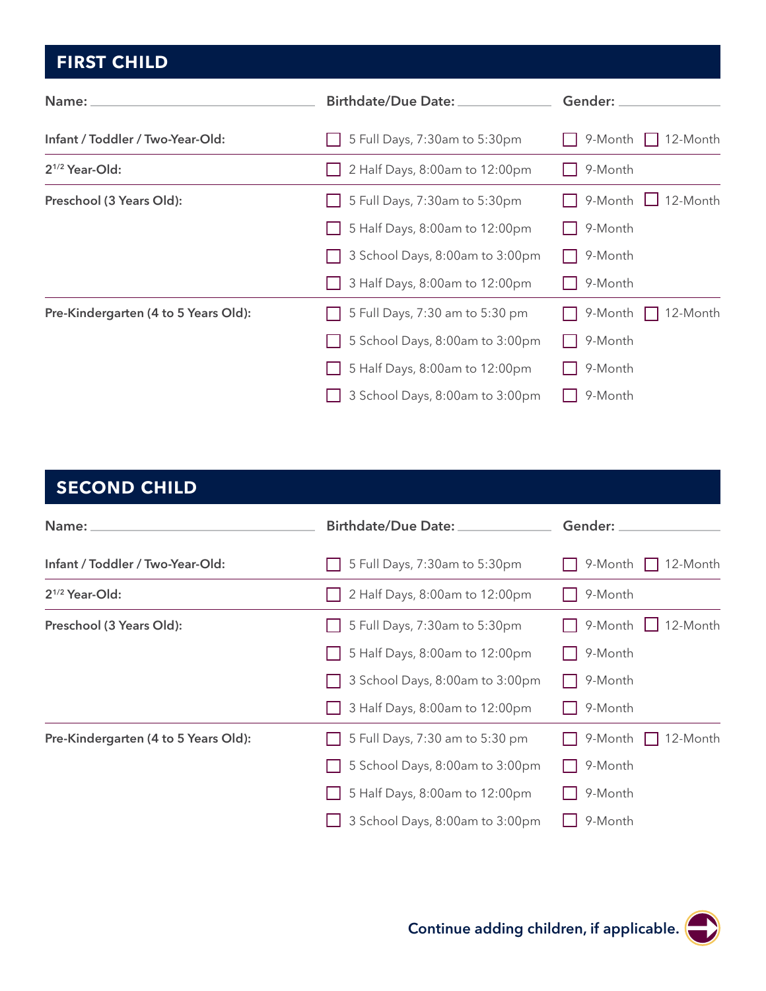## first child

| Name:                                | Birthdate/Due Date:             | Gender:             |
|--------------------------------------|---------------------------------|---------------------|
| Infant / Toddler / Two-Year-Old:     | 5 Full Days, 7:30am to 5:30pm   | 9-Month<br>12-Month |
| $2^{1/2}$ Year-Old:                  | 2 Half Days, 8:00am to 12:00pm  | 9-Month             |
| Preschool (3 Years Old):             | 5 Full Days, 7:30am to 5:30pm   | 9-Month<br>12-Month |
|                                      | 5 Half Days, 8:00am to 12:00pm  | 9-Month             |
|                                      | 3 School Days, 8:00am to 3:00pm | 9-Month             |
|                                      | 3 Half Days, 8:00am to 12:00pm  | 9-Month             |
| Pre-Kindergarten (4 to 5 Years Old): | 5 Full Days, 7:30 am to 5:30 pm | 9-Month<br>12-Month |
|                                      | 5 School Days, 8:00am to 3:00pm | 9-Month             |
|                                      | 5 Half Days, 8:00am to 12:00pm  | 9-Month             |
|                                      | 3 School Days, 8:00am to 3:00pm | 9-Month             |

# second child

| Name:                                | Birthdate/Due Date:             | Gender:                    |  |
|--------------------------------------|---------------------------------|----------------------------|--|
| Infant / Toddler / Two-Year-Old:     | 5 Full Days, 7:30am to 5:30pm   | 9-Month    <br>12-Month    |  |
| $2^{1/2}$ Year-Old:                  | 2 Half Days, 8:00am to 12:00pm  | 9-Month                    |  |
| Preschool (3 Years Old):             | 5 Full Days, 7:30am to 5:30pm   | 9-Month $\Box$<br>12-Month |  |
|                                      | 5 Half Days, 8:00am to 12:00pm  | 9-Month                    |  |
|                                      | 3 School Days, 8:00am to 3:00pm | 9-Month                    |  |
|                                      | 3 Half Days, 8:00am to 12:00pm  | 9-Month                    |  |
| Pre-Kindergarten (4 to 5 Years Old): | 5 Full Days, 7:30 am to 5:30 pm | 12-Month<br>9-Month        |  |
|                                      | 5 School Days, 8:00am to 3:00pm | 9-Month                    |  |
|                                      | 5 Half Days, 8:00am to 12:00pm  | 9-Month                    |  |
|                                      | 3 School Days, 8:00am to 3:00pm | 9-Month                    |  |

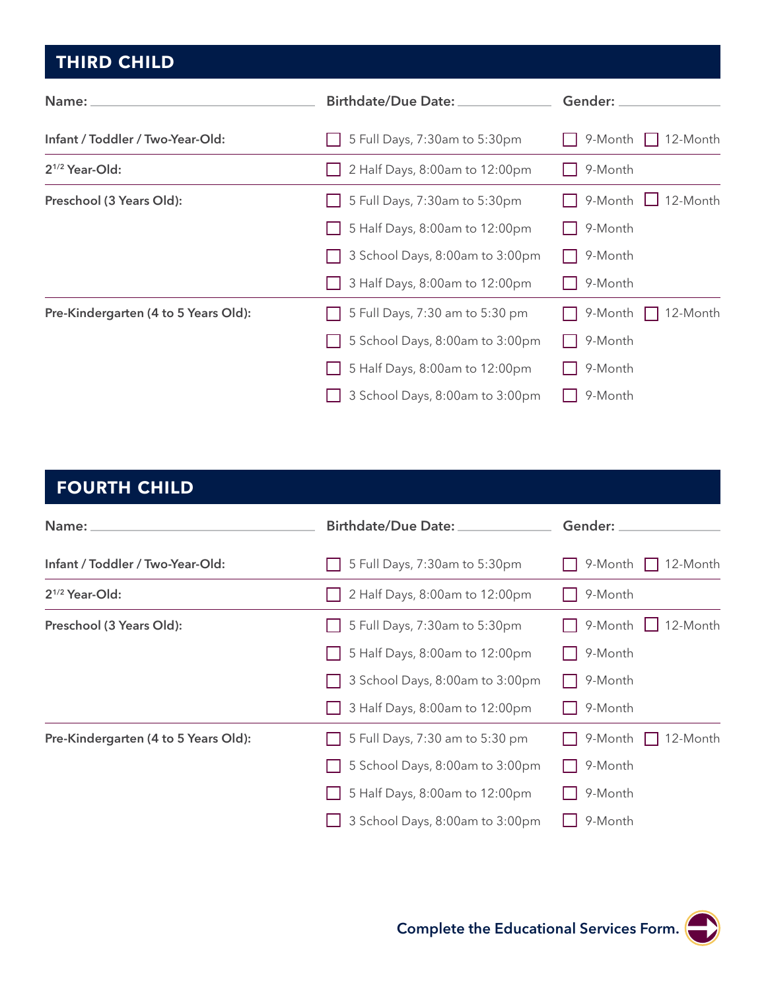## third child

| Name:                                | Birthdate/Due Date:             | Gender:             |
|--------------------------------------|---------------------------------|---------------------|
| Infant / Toddler / Two-Year-Old:     | 5 Full Days, 7:30am to 5:30pm   | 9-Month<br>12-Month |
| 2 <sup>1/2</sup> Year-Old:           | 2 Half Days, 8:00am to 12:00pm  | 9-Month             |
| Preschool (3 Years Old):             | 5 Full Days, 7:30am to 5:30pm   | 12-Month<br>9-Month |
|                                      | 5 Half Days, 8:00am to 12:00pm  | 9-Month             |
|                                      | 3 School Days, 8:00am to 3:00pm | 9-Month             |
|                                      | 3 Half Days, 8:00am to 12:00pm  | 9-Month             |
| Pre-Kindergarten (4 to 5 Years Old): | 5 Full Days, 7:30 am to 5:30 pm | 12-Month<br>9-Month |
|                                      | 5 School Days, 8:00am to 3:00pm | 9-Month             |
|                                      | 5 Half Days, 8:00am to 12:00pm  | 9-Month             |
|                                      | 3 School Days, 8:00am to 3:00pm | 9-Month             |

## FOURTH CHILD

| Name:                                | Birthdate/Due Date: _           | Gender:               |  |
|--------------------------------------|---------------------------------|-----------------------|--|
| Infant / Toddler / Two-Year-Old:     | 5 Full Days, 7:30am to 5:30pm   | 9-Month  <br>12-Month |  |
| $2^{1/2}$ Year-Old:                  | 2 Half Days, 8:00am to 12:00pm  | 9-Month               |  |
| Preschool (3 Years Old):             | 5 Full Days, 7:30am to 5:30pm   | 9-Month<br>12-Month   |  |
|                                      | 5 Half Days, 8:00am to 12:00pm  | 9-Month               |  |
|                                      | 3 School Days, 8:00am to 3:00pm | 9-Month               |  |
|                                      | 3 Half Days, 8:00am to 12:00pm  | 9-Month               |  |
| Pre-Kindergarten (4 to 5 Years Old): | 5 Full Days, 7:30 am to 5:30 pm | 9-Month<br>12-Month   |  |
|                                      | 5 School Days, 8:00am to 3:00pm | 9-Month               |  |
|                                      | 5 Half Days, 8:00am to 12:00pm  | 9-Month               |  |
|                                      | 3 School Days, 8:00am to 3:00pm | 9-Month               |  |